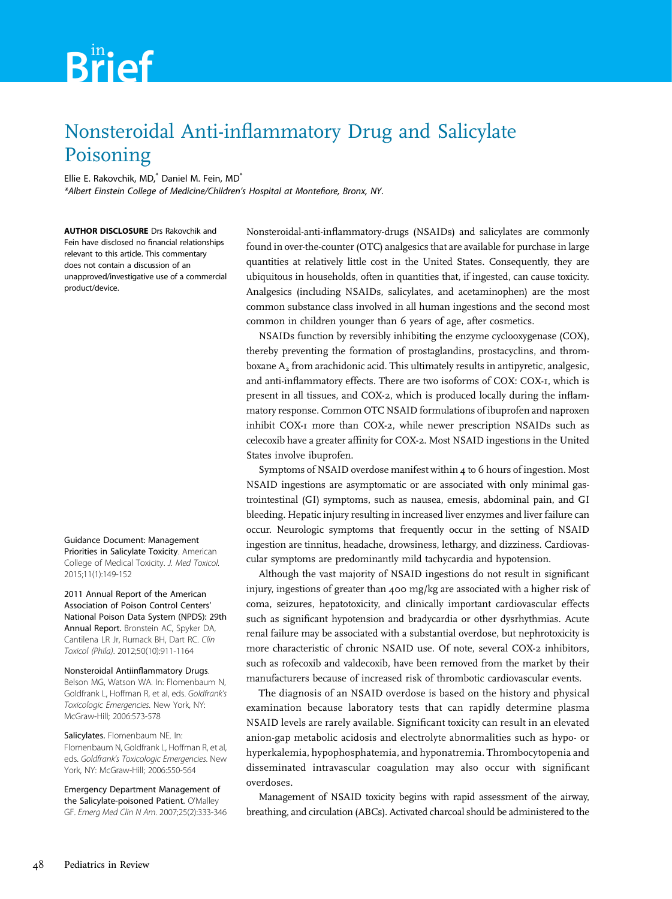## **Brief**

## Nonsteroidal Anti-inflammatory Drug and Salicylate Poisoning

Ellie E. Rakovchik, MD,\* Daniel M. Fein, MD\*

\*Albert Einstein College of Medicine/Children's Hospital at Montefiore, Bronx, NY.

AUTHOR DISCLOSURE Drs Rakovchik and Fein have disclosed no financial relationships relevant to this article. This commentary does not contain a discussion of an unapproved/investigative use of a commercial product/device.

Guidance Document: Management Priorities in Salicylate Toxicity. American College of Medical Toxicity. J. Med Toxicol. 2015;11(1):149-152

2011 Annual Report of the American Association of Poison Control Centers' National Poison Data System (NPDS): 29th Annual Report. Bronstein AC, Spyker DA, Cantilena LR Jr, Rumack BH, Dart RC. Clin Toxicol (Phila). 2012;50(10):911-1164

Nonsteroidal Antiinflammatory Drugs. Belson MG, Watson WA. In: Flomenbaum N, Goldfrank L, Hoffman R, et al, eds. Goldfrank's Toxicologic Emergencies. New York, NY: McGraw-Hill; 2006:573-578

Salicylates. Flomenbaum NE. In: Flomenbaum N, Goldfrank L, Hoffman R, et al, eds. Goldfrank's Toxicologic Emergencies. New York, NY: McGraw-Hill; 2006:550-564

Emergency Department Management of the Salicylate-poisoned Patient. O'Malley GF. Emerg Med Clin N Am. 2007;25(2):333-346 Nonsteroidal-anti-inflammatory-drugs (NSAIDs) and salicylates are commonly found in over-the-counter (OTC) analgesics that are available for purchase in large quantities at relatively little cost in the United States. Consequently, they are ubiquitous in households, often in quantities that, if ingested, can cause toxicity. Analgesics (including NSAIDs, salicylates, and acetaminophen) are the most common substance class involved in all human ingestions and the second most common in children younger than 6 years of age, after cosmetics.

NSAIDs function by reversibly inhibiting the enzyme cyclooxygenase (COX), thereby preventing the formation of prostaglandins, prostacyclins, and thromboxane  $A<sub>2</sub>$  from arachidonic acid. This ultimately results in antipyretic, analgesic, and anti-inflammatory effects. There are two isoforms of COX: COX-1, which is present in all tissues, and COX-2, which is produced locally during the inflammatory response. Common OTC NSAID formulations of ibuprofen and naproxen inhibit COX-1 more than COX-2, while newer prescription NSAIDs such as celecoxib have a greater affinity for COX-2. Most NSAID ingestions in the United States involve ibuprofen.

Symptoms of NSAID overdose manifest within 4 to 6 hours of ingestion. Most NSAID ingestions are asymptomatic or are associated with only minimal gastrointestinal (GI) symptoms, such as nausea, emesis, abdominal pain, and GI bleeding. Hepatic injury resulting in increased liver enzymes and liver failure can occur. Neurologic symptoms that frequently occur in the setting of NSAID ingestion are tinnitus, headache, drowsiness, lethargy, and dizziness. Cardiovascular symptoms are predominantly mild tachycardia and hypotension.

Although the vast majority of NSAID ingestions do not result in significant injury, ingestions of greater than 400 mg/kg are associated with a higher risk of coma, seizures, hepatotoxicity, and clinically important cardiovascular effects such as significant hypotension and bradycardia or other dysrhythmias. Acute renal failure may be associated with a substantial overdose, but nephrotoxicity is more characteristic of chronic NSAID use. Of note, several COX-2 inhibitors, such as rofecoxib and valdecoxib, have been removed from the market by their manufacturers because of increased risk of thrombotic cardiovascular events.

The diagnosis of an NSAID overdose is based on the history and physical examination because laboratory tests that can rapidly determine plasma NSAID levels are rarely available. Significant toxicity can result in an elevated anion-gap metabolic acidosis and electrolyte abnormalities such as hypo- or hyperkalemia, hypophosphatemia, and hyponatremia. Thrombocytopenia and disseminated intravascular coagulation may also occur with significant overdoses.

Management of NSAID toxicity begins with rapid assessment of the airway, breathing, and circulation (ABCs). Activated charcoal should be administered to the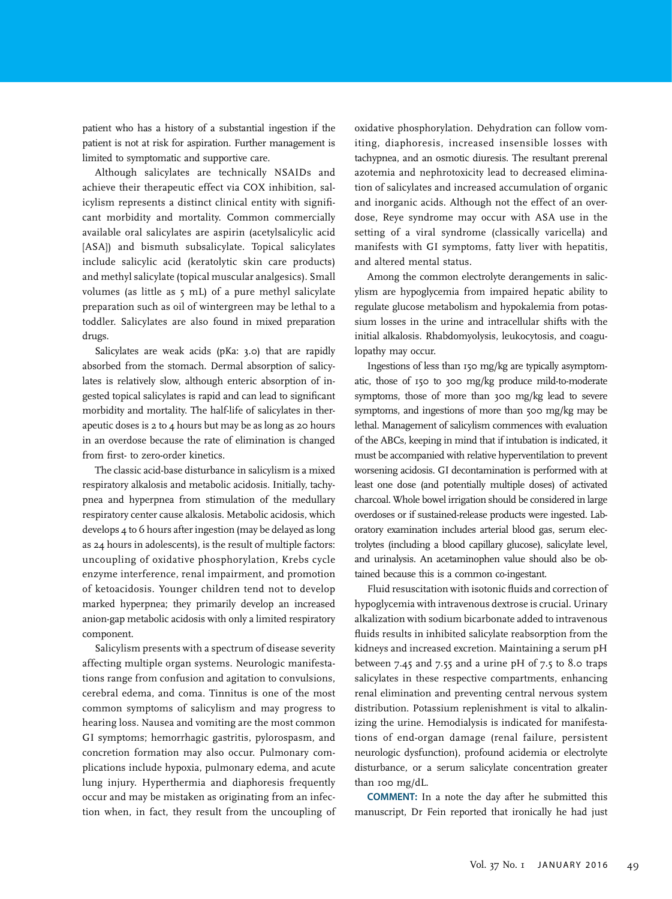patient who has a history of a substantial ingestion if the patient is not at risk for aspiration. Further management is limited to symptomatic and supportive care.

Although salicylates are technically NSAIDs and achieve their therapeutic effect via COX inhibition, salicylism represents a distinct clinical entity with significant morbidity and mortality. Common commercially available oral salicylates are aspirin (acetylsalicylic acid [ASA]) and bismuth subsalicylate. Topical salicylates include salicylic acid (keratolytic skin care products) and methyl salicylate (topical muscular analgesics). Small volumes (as little as 5 mL) of a pure methyl salicylate preparation such as oil of wintergreen may be lethal to a toddler. Salicylates are also found in mixed preparation drugs.

Salicylates are weak acids (pKa: 3.0) that are rapidly absorbed from the stomach. Dermal absorption of salicylates is relatively slow, although enteric absorption of ingested topical salicylates is rapid and can lead to significant morbidity and mortality. The half-life of salicylates in therapeutic doses is 2 to 4 hours but may be as long as 20 hours in an overdose because the rate of elimination is changed from first- to zero-order kinetics.

The classic acid-base disturbance in salicylism is a mixed respiratory alkalosis and metabolic acidosis. Initially, tachypnea and hyperpnea from stimulation of the medullary respiratory center cause alkalosis. Metabolic acidosis, which develops 4 to 6 hours after ingestion (may be delayed as long as 24 hours in adolescents), is the result of multiple factors: uncoupling of oxidative phosphorylation, Krebs cycle enzyme interference, renal impairment, and promotion of ketoacidosis. Younger children tend not to develop marked hyperpnea; they primarily develop an increased anion-gap metabolic acidosis with only a limited respiratory component.

Salicylism presents with a spectrum of disease severity affecting multiple organ systems. Neurologic manifestations range from confusion and agitation to convulsions, cerebral edema, and coma. Tinnitus is one of the most common symptoms of salicylism and may progress to hearing loss. Nausea and vomiting are the most common GI symptoms; hemorrhagic gastritis, pylorospasm, and concretion formation may also occur. Pulmonary complications include hypoxia, pulmonary edema, and acute lung injury. Hyperthermia and diaphoresis frequently occur and may be mistaken as originating from an infection when, in fact, they result from the uncoupling of oxidative phosphorylation. Dehydration can follow vomiting, diaphoresis, increased insensible losses with tachypnea, and an osmotic diuresis. The resultant prerenal azotemia and nephrotoxicity lead to decreased elimination of salicylates and increased accumulation of organic and inorganic acids. Although not the effect of an overdose, Reye syndrome may occur with ASA use in the setting of a viral syndrome (classically varicella) and manifests with GI symptoms, fatty liver with hepatitis, and altered mental status.

Among the common electrolyte derangements in salicylism are hypoglycemia from impaired hepatic ability to regulate glucose metabolism and hypokalemia from potassium losses in the urine and intracellular shifts with the initial alkalosis. Rhabdomyolysis, leukocytosis, and coagulopathy may occur.

Ingestions of less than 150 mg/kg are typically asymptomatic, those of 150 to 300 mg/kg produce mild-to-moderate symptoms, those of more than 300 mg/kg lead to severe symptoms, and ingestions of more than 500 mg/kg may be lethal. Management of salicylism commences with evaluation of the ABCs, keeping in mind that if intubation is indicated, it must be accompanied with relative hyperventilation to prevent worsening acidosis. GI decontamination is performed with at least one dose (and potentially multiple doses) of activated charcoal. Whole bowel irrigation should be considered in large overdoses or if sustained-release products were ingested. Laboratory examination includes arterial blood gas, serum electrolytes (including a blood capillary glucose), salicylate level, and urinalysis. An acetaminophen value should also be obtained because this is a common co-ingestant.

Fluid resuscitation with isotonic fluids and correction of hypoglycemia with intravenous dextrose is crucial. Urinary alkalization with sodium bicarbonate added to intravenous fluids results in inhibited salicylate reabsorption from the kidneys and increased excretion. Maintaining a serum pH between 7.45 and 7.55 and a urine pH of 7.5 to 8.0 traps salicylates in these respective compartments, enhancing renal elimination and preventing central nervous system distribution. Potassium replenishment is vital to alkalinizing the urine. Hemodialysis is indicated for manifestations of end-organ damage (renal failure, persistent neurologic dysfunction), profound acidemia or electrolyte disturbance, or a serum salicylate concentration greater than 100 mg/dL.

COMMENT: In a note the day after he submitted this manuscript, Dr Fein reported that ironically he had just